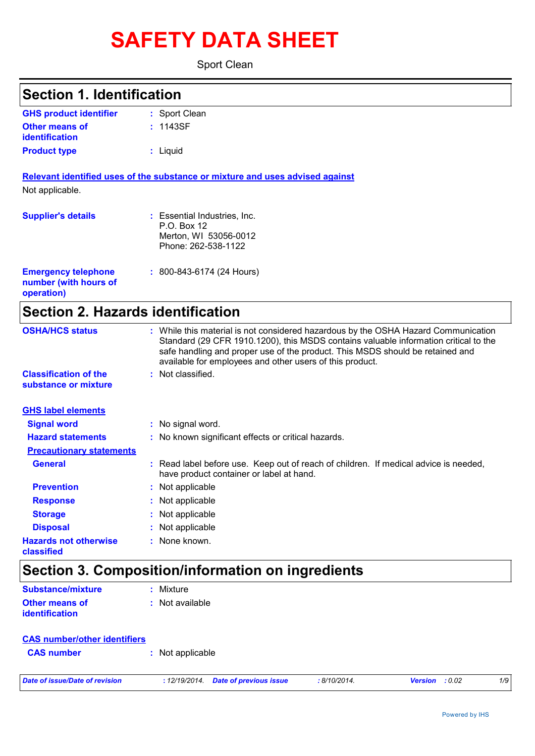# **SAFETY DATA SHEET**

Sport Clean

| <b>Section 1. Identification</b>                                  |                                                                                                                                                                                                                                                                                                                         |
|-------------------------------------------------------------------|-------------------------------------------------------------------------------------------------------------------------------------------------------------------------------------------------------------------------------------------------------------------------------------------------------------------------|
| <b>GHS product identifier</b>                                     | : Sport Clean                                                                                                                                                                                                                                                                                                           |
| <b>Other means of</b><br>identification                           | : 1143SF                                                                                                                                                                                                                                                                                                                |
| <b>Product type</b>                                               | : Liquid                                                                                                                                                                                                                                                                                                                |
|                                                                   | Relevant identified uses of the substance or mixture and uses advised against                                                                                                                                                                                                                                           |
| Not applicable.                                                   |                                                                                                                                                                                                                                                                                                                         |
| <b>Supplier's details</b>                                         | : Essential Industries, Inc.<br>P.O. Box 12<br>Merton, WI 53056-0012                                                                                                                                                                                                                                                    |
|                                                                   | Phone: 262-538-1122                                                                                                                                                                                                                                                                                                     |
| <b>Emergency telephone</b><br>number (with hours of<br>operation) | : 800-843-6174 (24 Hours)                                                                                                                                                                                                                                                                                               |
| <b>Section 2. Hazards identification</b>                          |                                                                                                                                                                                                                                                                                                                         |
| <b>OSHA/HCS status</b>                                            | : While this material is not considered hazardous by the OSHA Hazard Communication<br>Standard (29 CFR 1910.1200), this MSDS contains valuable information critical to the<br>safe handling and proper use of the product. This MSDS should be retained and<br>available for employees and other users of this product. |
| <b>Classification of the</b><br>substance or mixture              | : Not classified.                                                                                                                                                                                                                                                                                                       |
| <b>GHS label elements</b>                                         |                                                                                                                                                                                                                                                                                                                         |
| <b>Signal word</b>                                                | : No signal word.                                                                                                                                                                                                                                                                                                       |
| <b>Hazard statements</b>                                          | : No known significant effects or critical hazards.                                                                                                                                                                                                                                                                     |
| <b>Precautionary statements</b>                                   |                                                                                                                                                                                                                                                                                                                         |
| <b>General</b>                                                    | : Read label before use. Keep out of reach of children. If medical advice is needed,<br>have product container or label at hand.                                                                                                                                                                                        |
| <b>Prevention</b>                                                 | : Not applicable                                                                                                                                                                                                                                                                                                        |
| <b>Response</b>                                                   | : Not applicable                                                                                                                                                                                                                                                                                                        |
| <b>Storage</b>                                                    | : Not applicable                                                                                                                                                                                                                                                                                                        |
| <b>Disposal</b>                                                   | : Not applicable                                                                                                                                                                                                                                                                                                        |
| <b>Hazards not otherwise</b><br>classified                        | : None known.                                                                                                                                                                                                                                                                                                           |
|                                                                   | Section 3. Composition/information on ingredients                                                                                                                                                                                                                                                                       |
| <b>Substance/mixture</b>                                          | : Mixture                                                                                                                                                                                                                                                                                                               |
| <b>Other means of</b>                                             | : Not available                                                                                                                                                                                                                                                                                                         |

| <b>CAS</b> number/other identifiers |                  |  |
|-------------------------------------|------------------|--|
| <b>CAS</b> number                   | : Not applicable |  |

**identification**

*Date of issue/Date of revision* **:** *12/19/2014. Date of previous issue : 8/10/2014. Version : 0.02 1/9*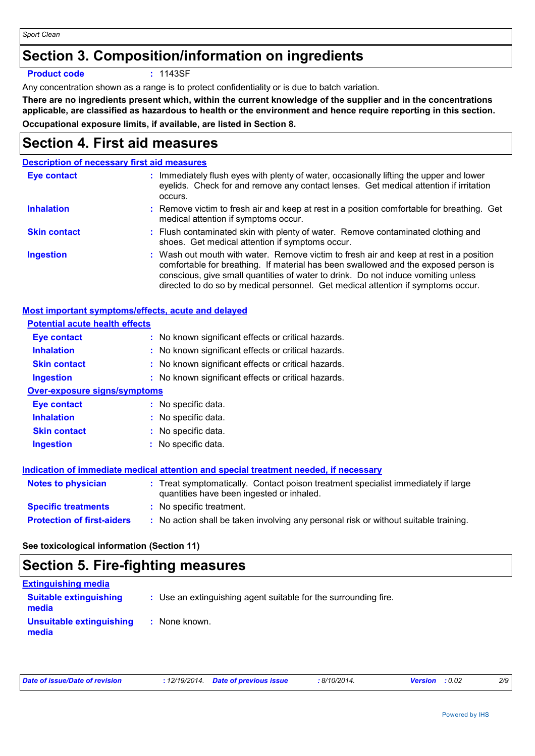## **Section 3. Composition/information on ingredients**

### **Product code :** 1143SF

Any concentration shown as a range is to protect confidentiality or is due to batch variation.

**There are no ingredients present which, within the current knowledge of the supplier and in the concentrations applicable, are classified as hazardous to health or the environment and hence require reporting in this section. Occupational exposure limits, if available, are listed in Section 8.**

## **Section 4. First aid measures**

### **Description of necessary first aid measures**

| <b>Eye contact</b>  | : Immediately flush eyes with plenty of water, occasionally lifting the upper and lower<br>eyelids. Check for and remove any contact lenses. Get medical attention if irritation<br>occurs.                                                                                                                                                            |
|---------------------|--------------------------------------------------------------------------------------------------------------------------------------------------------------------------------------------------------------------------------------------------------------------------------------------------------------------------------------------------------|
| <b>Inhalation</b>   | : Remove victim to fresh air and keep at rest in a position comfortable for breathing. Get<br>medical attention if symptoms occur.                                                                                                                                                                                                                     |
| <b>Skin contact</b> | : Flush contaminated skin with plenty of water. Remove contaminated clothing and<br>shoes. Get medical attention if symptoms occur.                                                                                                                                                                                                                    |
| <b>Ingestion</b>    | : Wash out mouth with water. Remove victim to fresh air and keep at rest in a position<br>comfortable for breathing. If material has been swallowed and the exposed person is<br>conscious, give small quantities of water to drink. Do not induce vomiting unless<br>directed to do so by medical personnel. Get medical attention if symptoms occur. |

| Most important symptoms/effects, acute and delayed |                                                                                                                                |
|----------------------------------------------------|--------------------------------------------------------------------------------------------------------------------------------|
| <b>Potential acute health effects</b>              |                                                                                                                                |
| Eye contact                                        | : No known significant effects or critical hazards.                                                                            |
| <b>Inhalation</b>                                  | : No known significant effects or critical hazards.                                                                            |
| <b>Skin contact</b>                                | : No known significant effects or critical hazards.                                                                            |
| <b>Ingestion</b>                                   | : No known significant effects or critical hazards.                                                                            |
| <b>Over-exposure signs/symptoms</b>                |                                                                                                                                |
| <b>Eye contact</b>                                 | : No specific data.                                                                                                            |
| <b>Inhalation</b>                                  | $:$ No specific data.                                                                                                          |
| <b>Skin contact</b>                                | : No specific data.                                                                                                            |
| <b>Ingestion</b>                                   | : No specific data.                                                                                                            |
|                                                    | Indication of immediate medical attention and special treatment needed, if necessary                                           |
| <b>Notes to physician</b>                          | : Treat symptomatically. Contact poison treatment specialist immediately if large<br>quantities have been ingested or inhaled. |
| <b>Specific treatments</b>                         | : No specific treatment.                                                                                                       |
| <b>Protection of first-aiders</b>                  | : No action shall be taken involving any personal risk or without suitable training.                                           |

### **See toxicological information (Section 11)**

## **Section 5. Fire-fighting measures**

| <b>Extinguishing media</b>             |                                                                 |
|----------------------------------------|-----------------------------------------------------------------|
| <b>Suitable extinguishing</b><br>media | : Use an extinguishing agent suitable for the surrounding fire. |
| Unsuitable extinguishing<br>media      | : None known.                                                   |

| Date of issue/Date of revision | : 12/19/2014 Date of previous issue | 8/10/2014. | <b>Version</b> : 0.02 |  |
|--------------------------------|-------------------------------------|------------|-----------------------|--|
|--------------------------------|-------------------------------------|------------|-----------------------|--|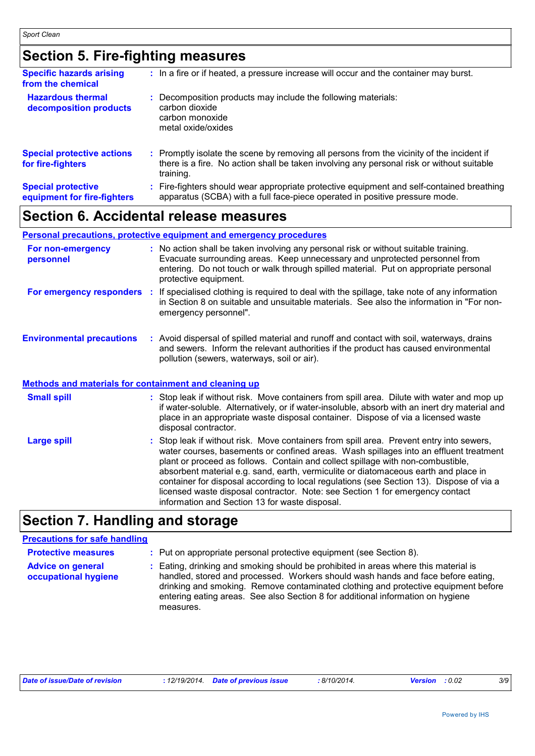## **Section 5. Fire-fighting measures**

| <b>Specific hazards arising</b><br>from the chemical     | : In a fire or if heated, a pressure increase will occur and the container may burst.                                                                                                               |  |
|----------------------------------------------------------|-----------------------------------------------------------------------------------------------------------------------------------------------------------------------------------------------------|--|
| <b>Hazardous thermal</b><br>decomposition products       | : Decomposition products may include the following materials:<br>carbon dioxide<br>carbon monoxide<br>metal oxide/oxides                                                                            |  |
| <b>Special protective actions</b><br>for fire-fighters   | : Promptly isolate the scene by removing all persons from the vicinity of the incident if<br>there is a fire. No action shall be taken involving any personal risk or without suitable<br>training. |  |
| <b>Special protective</b><br>equipment for fire-fighters | Fire-fighters should wear appropriate protective equipment and self-contained breathing<br>apparatus (SCBA) with a full face-piece operated in positive pressure mode.                              |  |

## **Section 6. Accidental release measures**

|                                                       | <b>Personal precautions, protective equipment and emergency procedures</b>                                                                                                                                                                                                                                                                                  |
|-------------------------------------------------------|-------------------------------------------------------------------------------------------------------------------------------------------------------------------------------------------------------------------------------------------------------------------------------------------------------------------------------------------------------------|
| For non-emergency<br>personnel                        | : No action shall be taken involving any personal risk or without suitable training.<br>Evacuate surrounding areas. Keep unnecessary and unprotected personnel from<br>entering. Do not touch or walk through spilled material. Put on appropriate personal<br>protective equipment.                                                                        |
| For emergency responders                              | : If specialised clothing is required to deal with the spillage, take note of any information<br>in Section 8 on suitable and unsuitable materials. See also the information in "For non-<br>emergency personnel".                                                                                                                                          |
| <b>Environmental precautions</b>                      | : Avoid dispersal of spilled material and runoff and contact with soil, waterways, drains<br>and sewers. Inform the relevant authorities if the product has caused environmental<br>pollution (sewers, waterways, soil or air).                                                                                                                             |
| Methods and materials for containment and cleaning up |                                                                                                                                                                                                                                                                                                                                                             |
| <b>Small spill</b>                                    | : Stop leak if without risk. Move containers from spill area. Dilute with water and mop up<br>if water-soluble. Alternatively, or if water-insoluble, absorb with an inert dry material and<br>place in an appropriate waste disposal container. Dispose of via a licensed waste<br>disposal contractor.                                                    |
| <b>Large spill</b>                                    | : Stop leak if without risk. Move containers from spill area. Prevent entry into sewers,<br>water courses, basements or confined areas. Wash spillages into an effluent treatment<br>plant or proceed as follows. Contain and collect spillage with non-combustible,<br>absorbent material e.g. sand, earth, vermiculite or diatomaceous earth and place in |

## **Section 7. Handling and storage**

### **Precautions for safe handling**

| <b>Protective measures</b>                       | : Put on appropriate personal protective equipment (see Section 8).                                                                                                                                                                                                                                                                                           |
|--------------------------------------------------|---------------------------------------------------------------------------------------------------------------------------------------------------------------------------------------------------------------------------------------------------------------------------------------------------------------------------------------------------------------|
| <b>Advice on general</b><br>occupational hygiene | : Eating, drinking and smoking should be prohibited in areas where this material is<br>handled, stored and processed. Workers should wash hands and face before eating,<br>drinking and smoking. Remove contaminated clothing and protective equipment before<br>entering eating areas. See also Section 8 for additional information on hygiene<br>measures. |

information and Section 13 for waste disposal.

container for disposal according to local regulations (see Section 13). Dispose of via a licensed waste disposal contractor. Note: see Section 1 for emergency contact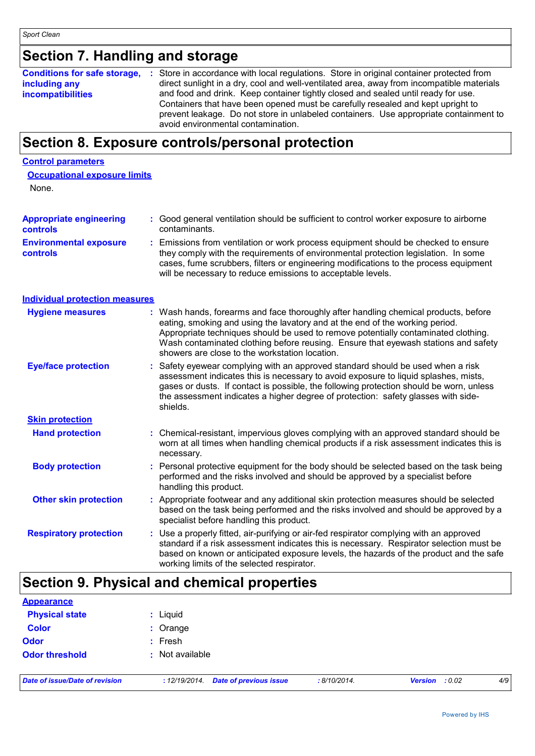## **Section 7. Handling and storage**

| <b>Conditions for safe storage,</b> | : Store in accordance with local regulations. Store in original container protected from  |
|-------------------------------------|-------------------------------------------------------------------------------------------|
| including any                       | direct sunlight in a dry, cool and well-ventilated area, away from incompatible materials |
| <b>incompatibilities</b>            | and food and drink. Keep container tightly closed and sealed until ready for use.         |
|                                     | Containers that have been opened must be carefully resealed and kept upright to           |
|                                     | prevent leakage. Do not store in unlabeled containers. Use appropriate containment to     |
|                                     | avoid environmental contamination.                                                        |

## **Section 8. Exposure controls/personal protection**

### **Control parameters**

| <b>Occupational exposure limits</b> |  |
|-------------------------------------|--|
| $\mathbf{N}$                        |  |

None.

| <b>Appropriate engineering</b><br><b>controls</b> | : Good general ventilation should be sufficient to control worker exposure to airborne<br>contaminants.                                                                                                                                                        |
|---------------------------------------------------|----------------------------------------------------------------------------------------------------------------------------------------------------------------------------------------------------------------------------------------------------------------|
| <b>Environmental exposure</b><br><b>controls</b>  | Emissions from ventilation or work process equipment should be checked to ensure<br>they comply with the requirements of environmental protection legislation. In some<br>cases, fume scrubbers, filters or engineering modifications to the process equipment |

will be necessary to reduce emissions to acceptable levels.

**Individual protection measures**

| <b>Hygiene measures</b>       | : Wash hands, forearms and face thoroughly after handling chemical products, before<br>eating, smoking and using the lavatory and at the end of the working period.<br>Appropriate techniques should be used to remove potentially contaminated clothing.<br>Wash contaminated clothing before reusing. Ensure that eyewash stations and safety<br>showers are close to the workstation location. |  |
|-------------------------------|---------------------------------------------------------------------------------------------------------------------------------------------------------------------------------------------------------------------------------------------------------------------------------------------------------------------------------------------------------------------------------------------------|--|
| <b>Eye/face protection</b>    | : Safety eyewear complying with an approved standard should be used when a risk<br>assessment indicates this is necessary to avoid exposure to liquid splashes, mists,<br>gases or dusts. If contact is possible, the following protection should be worn, unless<br>the assessment indicates a higher degree of protection: safety glasses with side-<br>shields.                                |  |
| <b>Skin protection</b>        |                                                                                                                                                                                                                                                                                                                                                                                                   |  |
| <b>Hand protection</b>        | : Chemical-resistant, impervious gloves complying with an approved standard should be<br>worn at all times when handling chemical products if a risk assessment indicates this is<br>necessary.                                                                                                                                                                                                   |  |
| <b>Body protection</b>        | : Personal protective equipment for the body should be selected based on the task being<br>performed and the risks involved and should be approved by a specialist before<br>handling this product.                                                                                                                                                                                               |  |
| <b>Other skin protection</b>  | : Appropriate footwear and any additional skin protection measures should be selected<br>based on the task being performed and the risks involved and should be approved by a<br>specialist before handling this product.                                                                                                                                                                         |  |
| <b>Respiratory protection</b> | : Use a properly fitted, air-purifying or air-fed respirator complying with an approved<br>standard if a risk assessment indicates this is necessary. Respirator selection must be<br>based on known or anticipated exposure levels, the hazards of the product and the safe<br>working limits of the selected respirator.                                                                        |  |

## **Section 9. Physical and chemical properties**

| <b>Appearance</b>     |                 |
|-----------------------|-----------------|
| <b>Physical state</b> | : Liquid        |
| <b>Color</b>          | : Orange        |
| <b>Odor</b>           | : Fresh         |
| <b>Odor threshold</b> | : Not available |
|                       |                 |

*Date of issue/Date of revision* **:** *12/19/2014. Date of previous issue : 8/10/2014. Version : 0.02 4/9*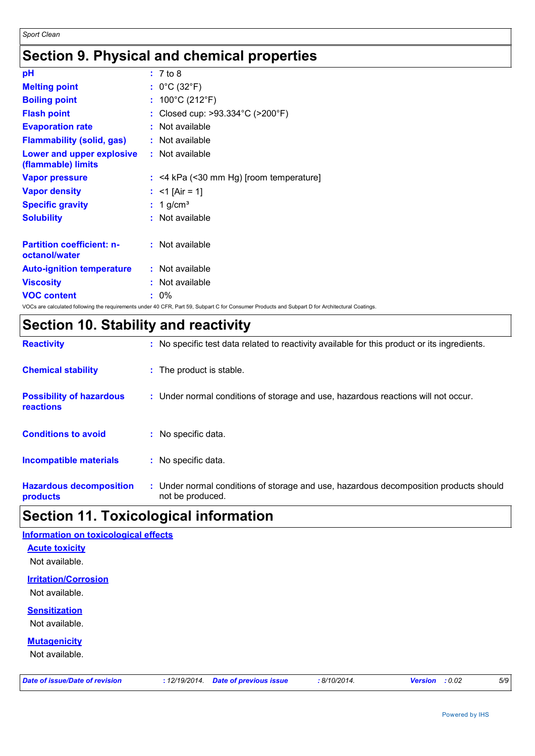## **Section 9. Physical and chemical properties**

| pH                                                | : 7 to 8                                                                                                                                        |
|---------------------------------------------------|-------------------------------------------------------------------------------------------------------------------------------------------------|
| <b>Melting point</b>                              | : $0^{\circ}$ C (32 $^{\circ}$ F)                                                                                                               |
| <b>Boiling point</b>                              | : $100^{\circ}$ C (212 $^{\circ}$ F)                                                                                                            |
| <b>Flash point</b>                                | : Closed cup: >93.334°C (>200°F)                                                                                                                |
| <b>Evaporation rate</b>                           | : Not available                                                                                                                                 |
| <b>Flammability (solid, gas)</b>                  | : Not available                                                                                                                                 |
| Lower and upper explosive<br>(flammable) limits   | : Not available                                                                                                                                 |
| <b>Vapor pressure</b>                             | $:$ <4 kPa (<30 mm Hg) [room temperature]                                                                                                       |
| <b>Vapor density</b>                              | : <1 [Air = 1]                                                                                                                                  |
| <b>Specific gravity</b>                           | $: 1$ g/cm <sup>3</sup>                                                                                                                         |
| <b>Solubility</b>                                 | : Not available                                                                                                                                 |
| <b>Partition coefficient: n-</b><br>octanol/water | : Not available                                                                                                                                 |
| <b>Auto-ignition temperature</b>                  | : Not available                                                                                                                                 |
| <b>Viscosity</b>                                  | : Not available                                                                                                                                 |
| <b>VOC content</b>                                | $: 0\%$                                                                                                                                         |
|                                                   | VOCs are calculated following the requirements under 40 CFR, Part 59, Subpart C for Consumer Products and Subpart D for Architectural Coatings. |

## **Section 10. Stability and reactivity**

| <b>Hazardous decomposition</b><br>products          | : Under normal conditions of storage and use, hazardous decomposition products should<br>not be produced. |
|-----------------------------------------------------|-----------------------------------------------------------------------------------------------------------|
| <b>Incompatible materials</b>                       | : No specific data.                                                                                       |
| <b>Conditions to avoid</b>                          | : No specific data.                                                                                       |
| <b>Possibility of hazardous</b><br><b>reactions</b> | : Under normal conditions of storage and use, hazardous reactions will not occur.                         |
| <b>Chemical stability</b>                           | : The product is stable.                                                                                  |
| <b>Reactivity</b>                                   | : No specific test data related to reactivity available for this product or its ingredients.              |

## **Section 11. Toxicological information**

| <b>Information on toxicological effects</b>   |  |
|-----------------------------------------------|--|
| <b>Acute toxicity</b>                         |  |
| Not available.                                |  |
| <b>Irritation/Corrosion</b><br>Not available. |  |
| <b>Sensitization</b>                          |  |
| Not available.                                |  |
| <b>Mutagenicity</b><br>Not available.         |  |
|                                               |  |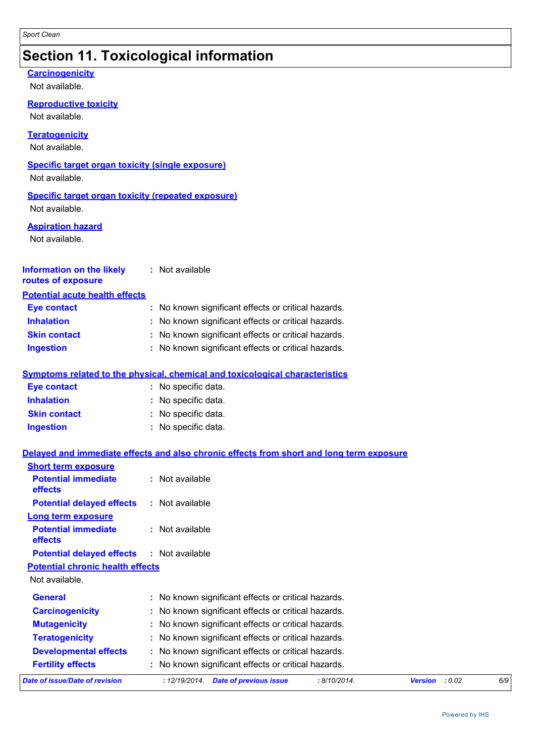## **Section 11. Toxicological information**

### **Carcinogenicity**

Not available.

**Reproductive toxicity**

Not available.

**Teratogenicity**

Not available.

### **Specific target organ toxicity (single exposure)**

Not available.

### **Specific target organ toxicity (repeated exposure)**

Not available.

### **Aspiration hazard**

Not available.

#### **Information on the likely routes of exposure :** Not available

### **Potential acute health effects**

| <b>Eye contact</b>  | : No known significant effects or critical hazards. |
|---------------------|-----------------------------------------------------|
| <b>Inhalation</b>   | : No known significant effects or critical hazards. |
| <b>Skin contact</b> | : No known significant effects or critical hazards. |
| <b>Ingestion</b>    | : No known significant effects or critical hazards. |

### **Symptoms related to the physical, chemical and toxicological characteristics**

| <b>Eye contact</b>  | : No specific data. |
|---------------------|---------------------|
| <b>Inhalation</b>   | : No specific data. |
| <b>Skin contact</b> | : No specific data. |
| Ingestion           | : No specific data. |

### **Delayed and immediate effects and also chronic effects from short and long term exposure**

| <b>Short term exposure</b>                   |                                                                |                          |     |
|----------------------------------------------|----------------------------------------------------------------|--------------------------|-----|
| <b>Potential immediate</b><br><b>effects</b> | $:$ Not available                                              |                          |     |
| <b>Potential delayed effects</b>             | $:$ Not available                                              |                          |     |
| Long term exposure                           |                                                                |                          |     |
| <b>Potential immediate</b><br>effects        | $:$ Not available                                              |                          |     |
| <b>Potential delayed effects</b>             | $:$ Not available                                              |                          |     |
| <b>Potential chronic health effects</b>      |                                                                |                          |     |
| Not available.                               |                                                                |                          |     |
| <b>General</b>                               | : No known significant effects or critical hazards.            |                          |     |
| <b>Carcinogenicity</b>                       | : No known significant effects or critical hazards.            |                          |     |
| <b>Mutagenicity</b>                          | : No known significant effects or critical hazards.            |                          |     |
| <b>Teratogenicity</b>                        | : No known significant effects or critical hazards.            |                          |     |
| <b>Developmental effects</b>                 | : No known significant effects or critical hazards.            |                          |     |
| <b>Fertility effects</b>                     | : No known significant effects or critical hazards.            |                          |     |
| Date of issue/Date of revision               | <b>Date of previous issue</b><br>: 8/10/2014.<br>: 12/19/2014. | : 0.02<br><b>Version</b> | 6/9 |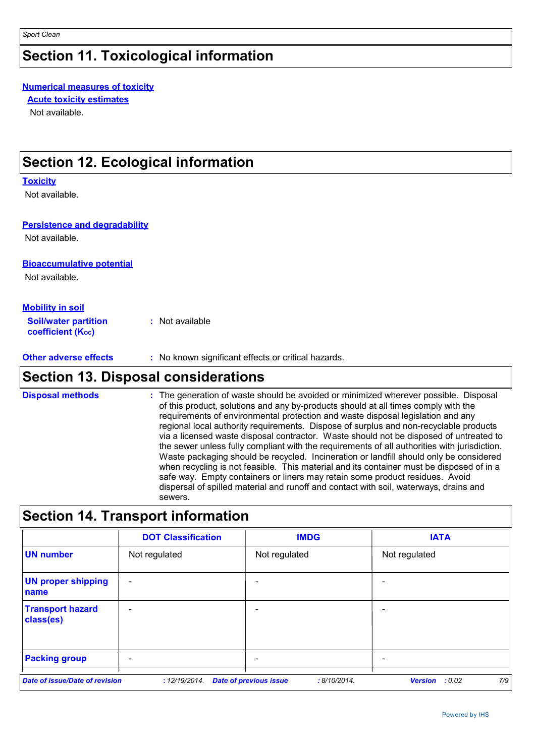## **Section 11. Toxicological information**

### **Numerical measures of toxicity**

**Acute toxicity estimates**

Not available.

## **Section 12. Ecological information**

### **Toxicity**

Not available.

### **Persistence and degradability**

Not available.

### **Bioaccumulative potential**

Not available.

### **Mobility in soil**

**Soil/water partition coefficient (Koc) :** Not available

**Other adverse effects** : No known significant effects or critical hazards.

## **Section 13. Disposal considerations**

The generation of waste should be avoided or minimized wherever possible. Disposal of this product, solutions and any by-products should at all times comply with the requirements of environmental protection and waste disposal legislation and any regional local authority requirements. Dispose of surplus and non-recyclable products via a licensed waste disposal contractor. Waste should not be disposed of untreated to the sewer unless fully compliant with the requirements of all authorities with jurisdiction. Waste packaging should be recycled. Incineration or landfill should only be considered when recycling is not feasible. This material and its container must be disposed of in a safe way. Empty containers or liners may retain some product residues. Avoid dispersal of spilled material and runoff and contact with soil, waterways, drains and sewers. **Disposal methods :**

## **Section 14. Transport information**

|                                       | <b>DOT Classification</b> | <b>IMDG</b>                                   | <b>IATA</b>           |
|---------------------------------------|---------------------------|-----------------------------------------------|-----------------------|
| <b>UN number</b>                      | Not regulated             | Not regulated                                 | Not regulated         |
| <b>UN proper shipping</b><br>name     | $\overline{\phantom{a}}$  |                                               |                       |
| <b>Transport hazard</b><br>class(es)  | $\overline{\phantom{a}}$  |                                               |                       |
| <b>Packing group</b>                  | $\overline{\phantom{a}}$  |                                               |                       |
| <b>Date of issue/Date of revision</b> | : 12/19/2014.             | <b>Date of previous issue</b><br>: 8/10/2014. | 7/9<br>Version : 0.02 |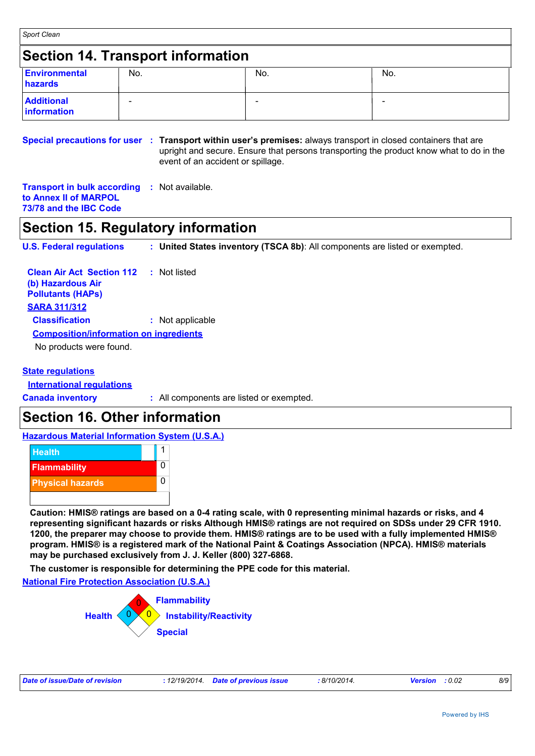*Sport Clean* **Section 14. Transport information Additional** - - **information Environmental hazards** No. No. No.

**Special precautions for user : Transport within user's premises: always transport in closed containers that are** upright and secure. Ensure that persons transporting the product know what to do in the event of an accident or spillage.

**Transport in bulk according :** Not available. **to Annex II of MARPOL 73/78 and the IBC Code**

## **Section 15. Regulatory information**

**U.S. Federal regulations : United States inventory (TSCA 8b)**: All components are listed or exempted.

| <b>Clean Air Act Section 112</b><br>: Not listed |
|--------------------------------------------------|
|                                                  |
| : Not applicable                                 |
| <b>Composition/information on ingredients</b>    |
|                                                  |
|                                                  |

### **State regulations**

**International regulations**

**Canada inventory :** All components are listed or exempted.

## **Section 16. Other information**

**Hazardous Material Information System (U.S.A.)**



**Caution: HMIS® ratings are based on a 0-4 rating scale, with 0 representing minimal hazards or risks, and 4 representing significant hazards or risks Although HMIS® ratings are not required on SDSs under 29 CFR 1910. 1200, the preparer may choose to provide them. HMIS® ratings are to be used with a fully implemented HMIS® program. HMIS® is a registered mark of the National Paint & Coatings Association (NPCA). HMIS® materials may be purchased exclusively from J. J. Keller (800) 327-6868.**

**The customer is responsible for determining the PPE code for this material.**

**National Fire Protection Association (U.S.A.)**



| Date of issue/Date of revision<br>: 8/10/2014.<br>: 12/19/2014. Date of previous issue<br><b>Version</b> : 0.02 |  |  |  |  |  |  |  |
|-----------------------------------------------------------------------------------------------------------------|--|--|--|--|--|--|--|
|-----------------------------------------------------------------------------------------------------------------|--|--|--|--|--|--|--|